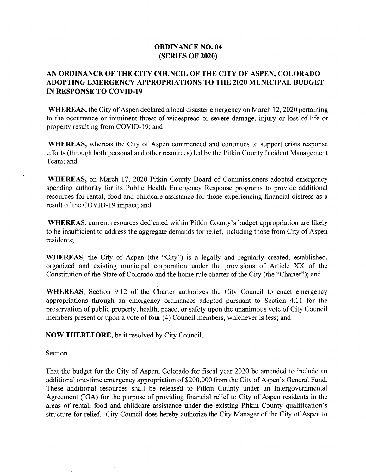## ORDINANCE NO. 04 SERIES OF 2020)

## AN ORDINANCE OF THE CITY COUNCIL OF THE CITY OF ASPEN, COLORADO ADOPTING EMERGENCY APPROPRIATIONS TO THE 2020 MUNICIPAL BUDGET **IN RESPONSE TO COVID-19**

WHEREAS, the City of Aspen declared a local disaster emergency on March 12, 2020 pertaining to the occurrence or imminent threat of widespread or severe damage, injury or loss of life or property resulting from COVID-19; and

WHEREAS, whereas the City of Aspen commenced and continues to support crisis response efforts( through both personal and other resources) led by the Pitkin County Incident Management Team; and

WHEREAS, on March 17, 2020 Pitkin County Board of Commissioners adopted emergency spending authority for its Public Health Emergency Response programs to provide additional resources for rental, food and childcare assistance for those experiencing financial distress as a result of the COVID-19 impact; and

WHEREAS, current resources dedicated within Pitkin County's budget appropriation are likely to be insufficient to address the aggregate demands for relief, including those from City of Aspen residents;

WHEREAS, the City of Aspen (the "City") is a legally and regularly created, established, organized and existing municipal corporation under the provisions of Article XX of the Constitution of the State of Colorado and the home rule charter of the City ( the" Charter"); and

WHEREAS, Section 9.12 of the Charter authorizes the City Council to enact emergency appropriations through an emergency ordinances adopted pursuant to Section 4. <sup>11</sup> for the preservation of public property, health, peace, or safety upon the unanimous vote of City Council members present or upon a vote of four (4) Council members, whichever is less; and

NOW THEREFORE, be it resolved by City Council,

Section 1.

That the budget for the City of Aspen, Colorado for fiscal year 2020 be amended to include an additional one-time emergency appropriation of \$200,000 from the City of Aspen's General Fund. These additional resources shall be released to Pitkin County under an Intergovernmental Agreement (IGA) for the purpose of providing financial relief to City of Aspen residents in the areas of rental, food and childcare assistance under the existing Pitkin County qualification's structure for relief. City Council does hereby authorize the City Manager of the City of Aspen to